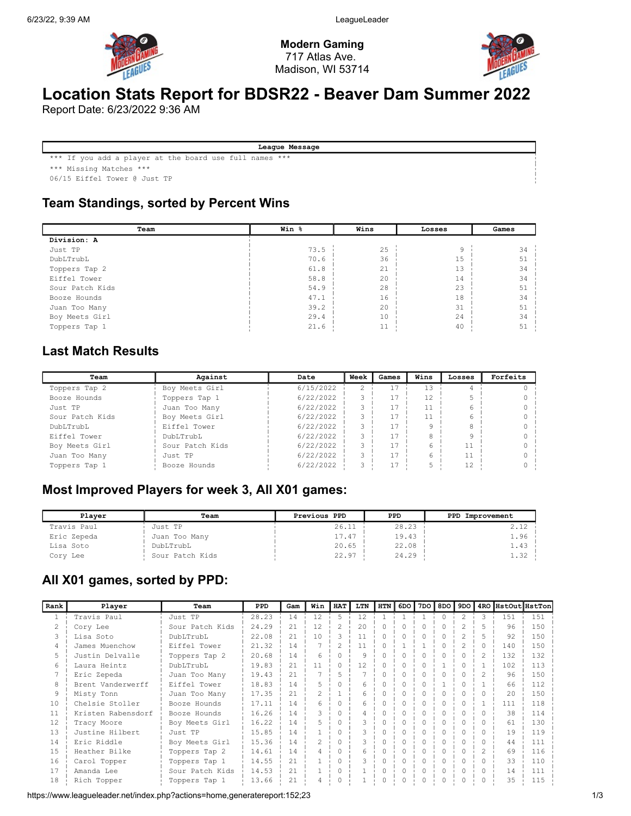

Modern Gaming 717 Atlas Ave. Madison, WI 53714



# Location Stats Report for BDSR22 - Beaver Dam Summer 2022

Report Date: 6/23/2022 9:36 AM

League Message

\*\*\* If you add a player at the board use full names \*\*\*

\*\*\* Missing Matches \*\*\*

06/15 Eiffel Tower @ Just TP

#### Team Standings, sorted by Percent Wins

| Team            | Win % | Wins | Losses | Games |
|-----------------|-------|------|--------|-------|
| Division: A     |       |      |        |       |
| Just TP         | 73.5  | 25   | 9      | 34    |
| DubLTrubL       | 70.6  | 36   | 15     | 51    |
| Toppers Tap 2   | 61.8  | 21   | 13     | 34    |
| Eiffel Tower    | 58.8  | 20   | 14     | 34    |
| Sour Patch Kids | 54.9  | 28   | 23     | 51    |
| Booze Hounds    | 47.1  | 16   | 18     | 34    |
| Juan Too Many   | 39.2  | 20   | 31     | 51    |
| Boy Meets Girl  | 29.4  | 10   | 24     | 34    |
| Toppers Tap 1   | 21.6  | 11   | 40     | 51    |

#### Last Match Results

| Team            | Against         | Date      | Week          | Games | Wins | Losses | Forfeits |
|-----------------|-----------------|-----------|---------------|-------|------|--------|----------|
| Toppers Tap 2   | Boy Meets Girl  | 6/15/2022 | $\mathcal{L}$ |       | 13   |        |          |
| Booze Hounds    | Toppers Tap 1   | 6/22/2022 |               |       | 12   |        |          |
| Just TP         | Juan Too Many   | 6/22/2022 |               |       |      |        |          |
| Sour Patch Kids | Boy Meets Girl  | 6/22/2022 | 3             |       |      |        |          |
| DubLTrubL       | Eiffel Tower    | 6/22/2022 | 3             |       |      |        |          |
| Eiffel Tower    | DubLTrubL       | 6/22/2022 |               |       |      |        |          |
| Boy Meets Girl  | Sour Patch Kids | 6/22/2022 |               |       |      | 11     |          |
| Juan Too Many   | Just TP         | 6/22/2022 |               |       |      | 11     |          |
| Toppers Tap 1   | Booze Hounds    | 6/22/2022 |               |       |      | 12     |          |

# Most Improved Players for week 3, All X01 games:

| Plaver      | Team            | Previous PPD | PPD.  | PPD Improvement |
|-------------|-----------------|--------------|-------|-----------------|
| Travis Paul | Just TP         | 26.11        | 28.23 | 2.12            |
| Eric Zepeda | Juan Too Many   | 17.47        | 19.43 | 1.96            |
| Lisa Soto   | DubLTrubL       | 20.65        | 22.08 | 1.43            |
| Cory Lee    | Sour Patch Kids | 22.97        | 24.29 | 1.32            |

#### All X01 games, sorted by PPD:

| Rank         | Player             | Team            | PPD   | Gam | Win            | <b>HAT</b>     | LTN | <b>HTN</b> | 6DO | 7DO | 8DO      | 9DO I          |                |     | 4RO HstOut HstTon |
|--------------|--------------------|-----------------|-------|-----|----------------|----------------|-----|------------|-----|-----|----------|----------------|----------------|-----|-------------------|
| $\mathbf{1}$ | Travis Paul        | Just TP         | 28.23 | 14  | 12             | 5              | 12  |            |     |     | $\Omega$ | $\mathfrak{D}$ | Κ              | 151 | 151               |
| 2            | Cory Lee           | Sour Patch Kids | 24.29 | 2.1 | 12             | $\mathfrak{D}$ | 20  |            |     |     |          |                | 5              | 96  | 150               |
| 3            | Lisa Soto          | DubLTrubL       | 22.08 | 2.1 | 10             | ς              | 11  | Λ          |     |     |          |                | 5              | 92  | 150               |
| 4            | James Muenchow     | Eiffel Tower    | 21.32 | 14  |                | 2              | 11  |            |     |     |          |                | $\cap$         | 140 | 150               |
| 5            | Justin Delvalle    | Toppers Tap 2   | 20.68 | 14  | 6              | $\Omega$       | 9   | Λ          | n   | O   |          |                | $\mathfrak{D}$ | 132 | 132               |
| 6            | Laura Heintz       | DubLTrubL       | 19.83 | 21  | 11             | $\Omega$       | 12  | Ω          |     |     |          |                |                | 102 | 113               |
|              | Eric Zepeda        | Juan Too Many   | 19.43 | 21  |                |                |     |            |     |     |          |                | $\mathfrak{D}$ | 96  | 150               |
| 8            | Brent Vanderwerff  | Eiffel Tower    | 18.83 | 14  | 5              |                |     |            |     |     |          |                |                | 66  | 112               |
| 9            | Misty Tonn         | Juan Too Many   | 17.35 | 21  | $\mathfrak{D}$ |                |     |            |     |     |          |                |                | 20  | 150               |
| 10           | Chelsie Stoller    | Booze Hounds    | 17.11 | 14  | 6              |                |     |            |     |     |          |                |                | 111 | 118               |
| 11           | Kristen Rabensdorf | Booze Hounds    | 16.26 | 14  |                |                |     |            |     |     |          |                | $\bigcap$      | 38  | 114               |
| 12           | Tracy Moore        | Boy Meets Girl  | 16.22 | 14  |                |                |     |            |     |     |          |                | $\cap$         | 61  | 130               |
| 13           | Justine Hilbert    | Just TP         | 15.85 | 14  |                |                |     |            |     |     |          |                | $\cup$         | 19  | 119               |
| 14           | Eric Riddle        | Boy Meets Girl  | 15.36 | 14  | $\mathfrak{D}$ |                |     |            |     |     |          |                | $\cap$         | 44  | 111               |
| 1.5          | Heather Bilke      | Toppers Tap 2   | 14.61 | 14  | 4              |                | 6   |            |     | Λ   |          |                | 2              | 69  | 116               |
| 16           | Carol Topper       | Toppers Tap 1   | 14.55 | 21  |                | $\cap$         | ς   | O          | U   | O   | $\cap$   | $\Omega$       | $\bigcap$      | 33  | 110               |
| 17           | Amanda Lee         | Sour Patch Kids | 14.53 | 21  |                | $\Omega$       |     | Λ          | 0   | 0   | $\Omega$ | $\Omega$       | $\Omega$       | 14  | 111               |
| 18           | Rich Topper        | Toppers Tap 1   | 13.66 | 21  |                |                |     |            |     |     |          |                |                | 35  | 115               |

https://www.leagueleader.net/index.php?actions=home,generatereport:152;23 1/3 1/3